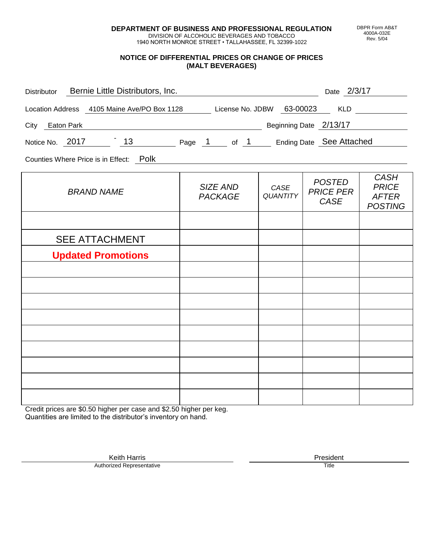**DEPARTMENT OF BUSINESS AND PROFESSIONAL REGULATION** DIVISION OF ALCOHOLIC BEVERAGES AND TOBACCO

1940 NORTH MONROE STREET • TALLAHASSEE, FL 32399-1022

## **NOTICE OF DIFFERENTIAL PRICES OR CHANGE OF PRICES (MALT BEVERAGES)**

| Distributor Bernie Little Distributors, Inc.                              |                            |                         | Date 2/3/17                               |                                                               |
|---------------------------------------------------------------------------|----------------------------|-------------------------|-------------------------------------------|---------------------------------------------------------------|
| Location Address 4105 Maine Ave/PO Box 1128 License No. JDBW 63-00023 KLD |                            |                         |                                           |                                                               |
| City Eaton Park                                                           |                            |                         | Beginning Date 2/13/17                    |                                                               |
| Notice No. 2017 13 Page 1 of 1 Ending Date See Attached                   |                            |                         |                                           |                                                               |
| Counties Where Price is in Effect: Polk                                   |                            |                         |                                           |                                                               |
| <b>BRAND NAME</b>                                                         | SIZE AND<br><b>PACKAGE</b> | CASE<br><b>QUANTITY</b> | <b>POSTED</b><br><b>PRICE PER</b><br>CASE | <b>CASH</b><br><b>PRICE</b><br><b>AFTER</b><br><b>POSTING</b> |
|                                                                           |                            |                         |                                           |                                                               |
| <b>SEE ATTACHMENT</b>                                                     |                            |                         |                                           |                                                               |
| <b>Updated Promotions</b>                                                 |                            |                         |                                           |                                                               |
|                                                                           |                            |                         |                                           |                                                               |
|                                                                           |                            |                         |                                           |                                                               |
|                                                                           |                            |                         |                                           |                                                               |
|                                                                           |                            |                         |                                           |                                                               |

Credit prices are \$0.50 higher per case and \$2.50 higher per keg. Quantities are limited to the distributor's inventory on hand.

DBPR Form AB&T 4000A-032E Rev. 5/04

Keith Harris **President**<br> **President**<br>
Prized Representative **President** Authorized Representative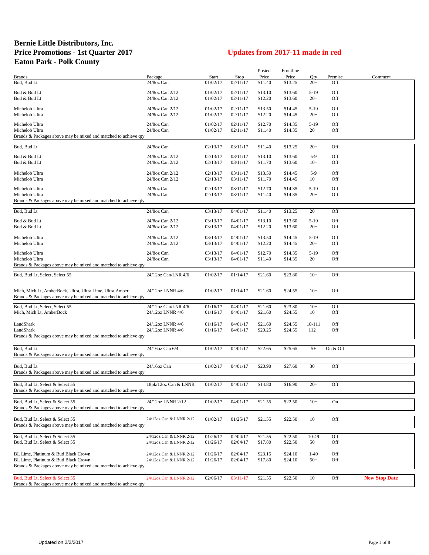## **Bernie Little Distributors, Inc. Price Promotions - 1st Quarter 2017 Updates from 2017-11 made in red Eaton Park - Polk County**

|                                                                 |                         |          |             | Posted  | <b>Frontline</b> |        |          |                      |
|-----------------------------------------------------------------|-------------------------|----------|-------------|---------|------------------|--------|----------|----------------------|
| <b>Brands</b>                                                   | Package                 | Start    | <b>Stop</b> | Price   | Price            | Qty    | Premise  | Comment              |
| Bud, Bud Lt                                                     | 24/8oz Can              | 01/02/17 | 02/11/17    | \$11.40 | \$13.25          | $20+$  | Off      |                      |
| Bud & Bud Lt                                                    | 24/8oz Can 2/12         | 01/02/17 | 02/11/17    | \$13.10 | \$13.60          | $5-19$ | Off      |                      |
| Bud & Bud Lt                                                    | 24/8oz Can 2/12         | 01/02/17 | 02/11/17    | \$12.20 | \$13.60          | $20+$  | Off      |                      |
|                                                                 |                         |          |             |         |                  |        |          |                      |
| Michelob Ultra                                                  | 24/8oz Can 2/12         | 01/02/17 | 02/11/17    | \$13.50 | \$14.45          | $5-19$ | Off      |                      |
| Michelob Ultra                                                  | 24/8oz Can 2/12         | 01/02/17 | 02/11/17    | \$12.20 | \$14.45          | $20+$  | Off      |                      |
|                                                                 |                         |          |             |         |                  |        |          |                      |
| Michelob Ultra                                                  | 24/8oz Can              | 01/02/17 | 02/11/17    | \$12.70 | \$14.35          | $5-19$ | Off      |                      |
| Michelob Ultra                                                  | 24/8oz Can              | 01/02/17 | 02/11/17    | \$11.40 | \$14.35          | $20+$  | Off      |                      |
| Brands & Packages above may be mixed and matched to achieve qty |                         |          |             |         |                  |        |          |                      |
| Bud, Bud Lt                                                     | 24/8oz Can              | 02/13/17 | 03/11/17    | \$11.40 | \$13.25          | $20+$  | Off      |                      |
|                                                                 |                         |          |             |         |                  |        |          |                      |
| Bud & Bud Lt                                                    | 24/8oz Can 2/12         | 02/13/17 | 03/11/17    | \$13.10 | \$13.60          | $5-9$  | Off      |                      |
| Bud & Bud Lt                                                    | 24/8oz Can 2/12         | 02/13/17 | 03/11/17    | \$11.70 | \$13.60          | $10+$  | Off      |                      |
|                                                                 |                         |          |             |         |                  |        |          |                      |
| Michelob Ultra                                                  | 24/8oz Can 2/12         | 02/13/17 | 03/11/17    | \$13.50 | \$14.45          | $5-9$  | Off      |                      |
| Michelob Ultra                                                  | 24/8oz Can 2/12         | 02/13/17 | 03/11/17    | \$11.70 | \$14.45          | $10+$  | Off      |                      |
| Michelob Ultra                                                  | 24/8oz Can              | 02/13/17 | 03/11/17    | \$12.70 | \$14.35          | $5-19$ | Off      |                      |
| Michelob Ultra                                                  | 24/8oz Can              | 02/13/17 | 03/11/17    | \$11.40 | \$14.35          | $20+$  | Off      |                      |
| Brands & Packages above may be mixed and matched to achieve qty |                         |          |             |         |                  |        |          |                      |
|                                                                 |                         |          |             |         |                  |        |          |                      |
| Bud, Bud Lt                                                     | 24/8oz Can              | 03/13/17 | 04/01/17    | \$11.40 | \$13.25          | $20+$  | Off      |                      |
|                                                                 |                         |          |             |         |                  |        |          |                      |
| Bud & Bud Lt                                                    | 24/8oz Can 2/12         | 03/13/17 | 04/01/17    | \$13.10 | \$13.60          | $5-19$ | Off      |                      |
| Bud & Bud Lt                                                    | 24/8oz Can 2/12         | 03/13/17 | 04/01/17    | \$12.20 | \$13.60          | $20+$  | Off      |                      |
| Michelob Ultra                                                  | 24/8oz Can 2/12         | 03/13/17 | 04/01/17    | \$13.50 | \$14.45          | 5-19   | Off      |                      |
| Michelob Ultra                                                  | 24/8oz Can 2/12         | 03/13/17 | 04/01/17    | \$12.20 | \$14.45          | $20+$  | Off      |                      |
|                                                                 |                         |          |             |         |                  |        |          |                      |
| Michelob Ultra                                                  | 24/8oz Can              | 03/13/17 | 04/01/17    | \$12.70 | \$14.35          | $5-19$ | Off      |                      |
| Michelob Ultra                                                  | 24/8oz Can              | 03/13/17 | 04/01/17    | \$11.40 | \$14.35          | $20+$  | Off      |                      |
| Brands & Packages above may be mixed and matched to achieve qty |                         |          |             |         |                  |        |          |                      |
|                                                                 |                         |          |             |         |                  |        |          |                      |
| Bud, Bud Lt, Select, Select 55                                  | 24/12oz Can/LNR 4/6     | 01/02/17 | 01/14/17    | \$21.60 | \$23.80          | $10+$  | Off      |                      |
|                                                                 |                         |          |             |         |                  |        |          |                      |
| Mich, Mich Lt, AmberBock, Ultra, Ultra Lime, Ultra Amber        | 24/12oz LNNR 4/6        | 01/02/17 | 01/14/17    | \$21.60 | \$24.55          | $10+$  | Off      |                      |
| Brands & Packages above may be mixed and matched to achieve qty |                         |          |             |         |                  |        |          |                      |
|                                                                 |                         |          |             |         |                  |        |          |                      |
| Bud, Bud Lt, Select, Select 55                                  | 24/12oz Can/LNR 4/6     | 01/16/17 | 04/01/17    | \$21.60 | \$23.80          | $10+$  | Off      |                      |
| Mich, Mich Lt, AmberBock                                        | 24/12oz LNNR 4/6        | 01/16/17 | 04/01/17    | \$21.60 | \$24.55          | $10+$  | Off      |                      |
|                                                                 |                         |          |             |         |                  |        |          |                      |
| LandShark                                                       | 24/12oz LNNR 4/6        | 01/16/17 | 04/01/17    | \$21.60 | \$24.55          | 10-111 | Off      |                      |
| LandShark                                                       | 24/12oz LNNR 4/6        | 01/16/17 | 04/01/17    | \$20.25 | \$24.55          | $112+$ | Off      |                      |
| Brands & Packages above may be mixed and matched to achieve qty |                         |          |             |         |                  |        |          |                      |
|                                                                 |                         |          |             |         |                  |        |          |                      |
| Bud, Bud Lt                                                     | 24/16oz Can 6/4         | 01/02/17 | 04/01/17    | \$22.65 | \$25.65          | $5+$   | On & Off |                      |
| Brands & Packages above may be mixed and matched to achieve qty |                         |          |             |         |                  |        |          |                      |
|                                                                 |                         |          |             |         |                  |        |          |                      |
| Bud, Bud Lt                                                     | 24/16oz Can             | 01/02/17 | 04/01/17    | \$20.90 | \$27.60          | $30+$  | Off      |                      |
| Brands & Packages above may be mixed and matched to achieve qty |                         |          |             |         |                  |        |          |                      |
|                                                                 |                         |          |             |         |                  |        |          |                      |
| Bud, Bud Lt, Select & Select 55                                 | 18pk/12oz Can & LNNR    | 01/02/17 | 04/01/17    | \$14.80 | \$16.90          | $20+$  | OĦ       |                      |
| Brands & Packages above may be mixed and matched to achieve qty |                         |          |             |         |                  |        |          |                      |
|                                                                 |                         |          |             |         |                  |        |          |                      |
| Bud, Bud Lt, Select & Select 55                                 | 24/12oz LNNR 2/12       | 01/02/17 | 04/01/17    | \$21.55 | \$22.50          | $10+$  | On       |                      |
| Brands & Packages above may be mixed and matched to achieve qty |                         |          |             |         |                  |        |          |                      |
|                                                                 |                         |          |             |         |                  |        |          |                      |
| Bud, Bud Lt, Select & Select 55                                 | 24/12oz Can & LNNR 2/12 | 01/02/17 | 01/25/17    | \$21.55 | \$22.50          | $10+$  | Off      |                      |
| Brands & Packages above may be mixed and matched to achieve qty |                         |          |             |         |                  |        |          |                      |
| Bud, Bud Lt, Select & Select 55                                 | 24/12oz Can & LNNR 2/12 | 01/26/17 | 02/04/17    | \$21.55 | \$22.50          | 10-49  | Off      |                      |
|                                                                 | 24/12oz Can & LNNR 2/12 |          |             |         |                  |        | Off      |                      |
| Bud, Bud Lt, Select & Select 55                                 |                         | 01/26/17 | 02/04/17    | \$17.80 | \$22.50          | $50+$  |          |                      |
| BL Lime, Platinum & Bud Black Crown                             | 24/12oz Can & LNNR 2/12 | 01/26/17 | 02/04/17    | \$23.15 | \$24.10          | $1-49$ | Off      |                      |
| BL Lime, Platinum & Bud Black Crown                             | 24/12oz Can & LNNR 2/12 | 01/26/17 | 02/04/17    | \$17.80 | \$24.10          | $50+$  | Off      |                      |
| Brands & Packages above may be mixed and matched to achieve qty |                         |          |             |         |                  |        |          |                      |
|                                                                 |                         |          |             |         |                  |        |          |                      |
| Bud, Bud Lt, Select & Select 55                                 | 24/12oz Can & LNNR 2/12 | 02/06/17 | 03/11/17    | \$21.55 | \$22.50          | $10+$  | Off      | <b>New Stop Date</b> |
| Brands & Packages above may be mixed and matched to achieve qty |                         |          |             |         |                  |        |          |                      |
|                                                                 |                         |          |             |         |                  |        |          |                      |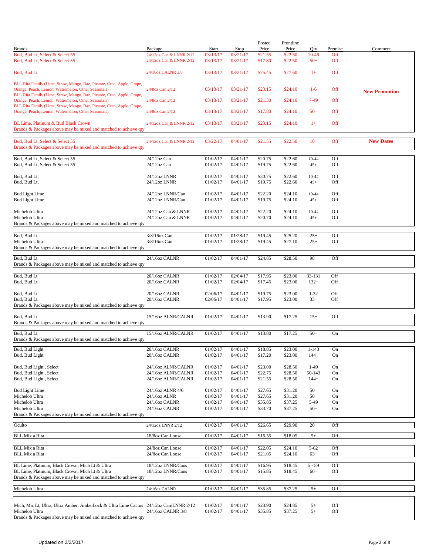|                                                                                                                              |                                    |                      |                      | Posted             | <b>Frontline</b>   |                    |            |                      |
|------------------------------------------------------------------------------------------------------------------------------|------------------------------------|----------------------|----------------------|--------------------|--------------------|--------------------|------------|----------------------|
| <b>Brands</b><br>Bud, Bud Lt, Select & Select 55                                                                             | Package<br>24/12oz Can & LNNR 2/12 | Start<br>03/13/17    | Stop<br>03/21/17     | Price              | Price              | Qty<br>10-49       | Premise    | Comment              |
| Bud, Bud Lt, Select & Select 55                                                                                              | 24/12oz Can & LNNR 2/12            | 03/13/17             | 03/21/17             | \$21.55<br>\$17.80 | \$22.50<br>\$22.50 | $50+$              | Off<br>Off |                      |
| Bud, Bud Lt                                                                                                                  | 24/16oz CALNR 3/8                  | 03/13/17             | 03/21/17             | \$25.45            | \$27.60            | $1+$               | Off        |                      |
| BLL Rita Family (Lime, Straw, Mango, Raz, Picante, Cran, Apple, Grape,<br>Orange, Peach, Lemon, Watermelon, Other Seasonals) | 24/8oz Can 2/12                    | 03/13/17             | 03/21/17             | \$23.15            | \$24.10            | $1-6$              | Off        | <b>New Promotion</b> |
| BLL Rita Family (Lime, Straw, Mango, Raz, Picante, Cran, Apple, Grape,<br>Orange, Peach, Lemon, Watermelon, Other Seasonals) | 24/8oz Can 2/12                    | 03/13/17             | 03/21/17             | \$21.30            | \$24.10            | $7-49$             | Off        |                      |
| BLL Rita Family (Lime, Straw, Mango, Raz, Picante, Cran, Apple, Grape,<br>Orange, Peach, Lemon, Watermelon, Other Seasonals) | 24/8oz Can 2/12                    | 03/13/17             | 03/21/17             | \$17.80            | \$24.10            | $50+$              | Off        |                      |
| BL Lime, Platinum & Bud Black Crown<br>Brands & Packages above may be mixed and matched to achieve qty                       | 24/12oz Can & LNNR 2/12            | 03/13/17             | 03/21/17             | \$23.15            | \$24.10            | $1+$               | Off        |                      |
| Bud, Bud Lt, Select & Select 55<br>Brands & Packages above may be mixed and matched to achieve qty                           | 24/12oz Can & LNNR 2/12            | 03/22/17             | 04/01/17             | \$21.55            | \$22.50            | $10+$              | Off        | <b>New Dates</b>     |
|                                                                                                                              |                                    | 01/02/17             | 04/01/17             |                    |                    |                    |            |                      |
| Bud, Bud Lt, Select & Select 55<br>Bud, Bud Lt, Select & Select 55                                                           | $24/12$ oz Can<br>$24/12$ oz Can   | 01/02/17             | 04/01/17             | \$20.75<br>\$19.75 | \$22.60<br>\$22.60 | $10 - 44$<br>$45+$ | Off<br>Off |                      |
| Bud, Bud Lt,                                                                                                                 | 24/12oz LNNR                       | 01/02/17             | 04/01/17             | \$20.75            | \$22.60            | 10-44              | Off        |                      |
| Bud, Bud Lt,                                                                                                                 | 24/12oz LNNR                       | 01/02/17             | 04/01/17             | \$19.75            | \$22.60            | $45+$              | Off        |                      |
| <b>Bud Light Lime</b>                                                                                                        | 24/12oz LNNR/Can                   | 01/02/17             | 04/01/17             | \$22.20            | \$24.10            | $10 - 44$          | Off        |                      |
| <b>Bud Light Lime</b>                                                                                                        | 24/12oz LNNR/Can                   | 01/02/17             | 04/01/17             | \$19.75            | \$24.10            | $45+$              | Off        |                      |
| Michelob Ultra                                                                                                               | 24/12oz Can & LNNR                 | 01/02/17             | 04/01/17             | \$22.20            | \$24.10            | $10 - 44$          | Off        |                      |
| Michelob Ultra<br>Brands & Packages above may be mixed and matched to achieve qty                                            | 24/12oz Can & LNNR                 | 01/02/17             | 04/01/17             | \$20.70            | \$24.10            | $45+$              | Off        |                      |
|                                                                                                                              |                                    |                      |                      |                    |                    |                    |            |                      |
| Bud, Bud Lt                                                                                                                  | $3/8/16$ oz Can                    | 01/02/17             | 01/28/17             | \$19.45            | \$25.20            | $25+$              | Off        |                      |
| Michelob Ultra<br>Brands & Packages above may be mixed and matched to achieve qty                                            | 3/8/16oz Can                       | 01/02/17             | 01/28/17             | \$19.45            | \$27.10            | $25+$              | Off        |                      |
| Bud, Bud Lt                                                                                                                  | 24/16oz CALNR                      | 01/02/17             | 04/01/17             | \$24.85            | \$28.50            | $98+$              | Off        |                      |
| Brands & Packages above may be mixed and matched to achieve qty                                                              |                                    |                      |                      |                    |                    |                    |            |                      |
| Bud, Bud Lt                                                                                                                  | 20/16oz CALNR                      | 01/02/17             | 02/04/17             | \$17.95            | \$23.00            | 33-131             | Off        |                      |
| Bud, Bud Lt                                                                                                                  | 20/16oz CALNR                      | 01/02/17             | 02/04/17             | \$17.45            | \$23.00            | $132+$             | Off        |                      |
| Bud, Bud Lt                                                                                                                  | 20/16oz CALNR                      | 02/06/17             | 04/01/17             | \$19.75            | \$23.00            | $1 - 32$           | Off        |                      |
| Bud, Bud Lt<br>Brands & Packages above may be mixed and matched to achieve qty                                               | 20/16oz CALNR                      | 02/06/17             | 04/01/17             | \$17.95            | \$23.00            | $33+$              | Off        |                      |
|                                                                                                                              |                                    |                      |                      |                    |                    |                    |            |                      |
| Bud, Bud Lt<br>Brands & Packages above may be mixed and matched to achieve qty                                               | 15/16oz ALNR/CALNR                 | 01/02/17             | 04/01/17             | \$13.90            | \$17.25            | $15+$              | Off        |                      |
| Bud, Bud Lt                                                                                                                  | 15/16oz ALNR/CALNR                 | 01/02/17             | 04/01/17             | \$13.80            | \$17.25            | $50+$              | On         |                      |
| Brands & Packages above may be mixed and matched to achieve qty                                                              |                                    |                      |                      |                    |                    |                    |            |                      |
| Bud, Bud Light                                                                                                               | 20/16oz CALNR                      | 01/02/17             | 04/01/17             | \$18.85            | \$23.00            | $1 - 143$          | On         |                      |
| Bud, Bud Light                                                                                                               | 20/16oz CALNR                      | 01/02/17             | 04/01/17             | \$17.20            | \$23.00            | $144+$             | On         |                      |
| Bud, Bud Light, Select                                                                                                       | 24/16oz ALNR/CALNR                 | 01/02/17             | 04/01/17             | \$23.00            | \$28.50            | $1-49$             | On         |                      |
| Bud, Bud Light, Select                                                                                                       | 24/16oz ALNR/CALNR                 | 01/02/17             | 04/01/17             | \$22.75            | \$28.50            | 50-143             | On         |                      |
| Bud, Bud Light, Select                                                                                                       | 24/16oz ALNR/CALNR                 | 01/02/17             | 04/01/17             | \$21.55            | \$28.50            | $144+$             | On         |                      |
| <b>Bud Light Lime</b>                                                                                                        | 24/16oz ALNR 4/6                   | 01/02/17             | 04/01/17             | \$27.65            | \$31.20            | $50+$              | On         |                      |
| Michelob Ultra                                                                                                               | 24/16oz ALNR                       | 01/02/17             | 04/01/17             | \$27.65            | \$31.20            | $50+$              | On         |                      |
| Michelob Ultra                                                                                                               | 24/16oz CALNR                      | 01/02/17             | 04/01/17             | \$35.85            | \$37.25            | 5-49               | On         |                      |
| Michelob Ultra<br>Brands & Packages above may be mixed and matched to achieve qty                                            | 24/16oz CALNR                      | 01/02/17             | 04/01/17             | \$33.70            | \$37.25            | $50+$              | On         |                      |
| Oculto                                                                                                                       | 24/12oz LNNR 2/12                  | 01/02/17             | 04/01/17             | \$26.65            | \$29.90            | $20+$              | Off        |                      |
|                                                                                                                              |                                    |                      |                      |                    |                    |                    |            |                      |
| <b>BLL Mix a Rita</b>                                                                                                        | 18/8oz Can Loose                   | 01/02/17             | 04/01/17             | \$16.55            | \$18.05            | $5+$               | Off        |                      |
| <b>BLL Mix a Rita</b>                                                                                                        | 24/8oz Can Loose                   | 01/02/17             | 04/01/17             | \$22.05            | \$24.10            | $5 - 62$           | Off        |                      |
| BLL Mix a Rita                                                                                                               | 24/8oz Can Loose                   | 01/02/17             | 04/01/17             | \$21.05            | \$24.10            | $63+$              | Off        |                      |
| BL Lime, Platinum, Black Crown, Mich Lt & Ultra                                                                              | 18/12oz LNNR/Cans                  | 01/02/17             | 04/01/17             | \$16.95            | \$18.45            | $5 - 59$           | Off        |                      |
| BL Lime, Platinum, Black Crown, Mich Lt & Ultra<br>Brands & Packages above may be mixed and matched to achieve qty           | 18/12oz LNNR/Cans                  | 01/02/17             | 04/01/17             | \$15.85            | \$18.45            | $60+$              | Off        |                      |
|                                                                                                                              |                                    |                      |                      |                    |                    |                    |            |                      |
| Michelob Ultra                                                                                                               | 24/16oz CALNR                      | 01/02/17             | 04/01/17             | \$35.85            | \$37.25            | $5+$               | Off        |                      |
|                                                                                                                              |                                    |                      |                      |                    |                    |                    |            |                      |
| Mich, Mic Lt, Ultra, Ultra Amber, Amberbock & Ultra Lime Cactus 24/12oz Can/LNNR 2/12<br>Michelob Ultra                      | 24/16oz CALNR 3/8                  | 01/02/17<br>01/02/17 | 04/01/17<br>04/01/17 | \$23.90<br>\$35.85 | \$24.85<br>\$37.25 | $5+$<br>$5+$       | Off<br>Off |                      |
| Brands & Packages above may be mixed and matched to achieve qty                                                              |                                    |                      |                      |                    |                    |                    |            |                      |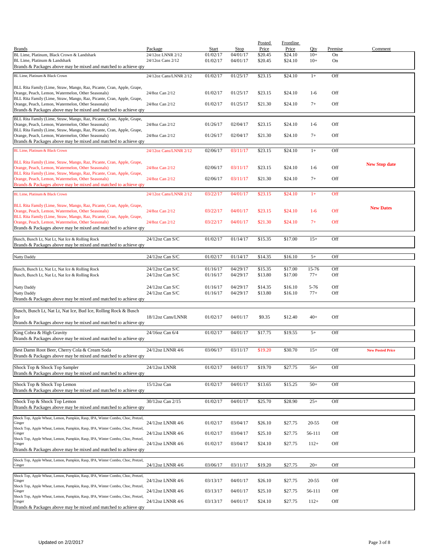|                                                                                                                              |                                       |                      |                      | <b>Posted</b>      | Frontline          |                   |            |                         |
|------------------------------------------------------------------------------------------------------------------------------|---------------------------------------|----------------------|----------------------|--------------------|--------------------|-------------------|------------|-------------------------|
| <b>Brands</b>                                                                                                                | Package                               | Start                | Stop                 | Price              | Price              | Oty               | Premise    | Comment                 |
| BL Lime, Platinum, Black Crown & Landshark                                                                                   | 24/12oz LNNR 2/12                     | 01/02/17             | 04/01/17             | \$20.45            | \$24.10            | $10+$             | On         |                         |
| BL Lime, Platinum & Landshark                                                                                                | 24/12oz Cans 2/12                     | 01/02/17             | 04/01/17             | \$20.45            | \$24.10            | $10+$             | On         |                         |
| Brands & Packages above may be mixed and matched to achieve qty                                                              |                                       |                      |                      |                    |                    |                   |            |                         |
| BL Lime, Platinum & Black Crown                                                                                              | 24/12oz Cans/LNNR 2/12                | 01/02/17             | 01/25/17             | \$23.15            | \$24.10            | $1+$              | Off        |                         |
|                                                                                                                              |                                       |                      |                      |                    |                    |                   |            |                         |
| BLL Rita Family (Lime, Straw, Mango, Raz, Picante, Cran, Apple, Grape,                                                       |                                       |                      |                      |                    |                    |                   |            |                         |
| Orange, Peach, Lemon, Watermelon, Other Seasonals)                                                                           | 24/8oz Can 2/12                       | 01/02/17             | 01/25/17             | \$23.15            | \$24.10            | $1-6$             | Off        |                         |
| BLL Rita Family (Lime, Straw, Mango, Raz, Picante, Cran, Apple, Grape,<br>Orange, Peach, Lemon, Watermelon, Other Seasonals) | 24/8oz Can 2/12                       | 01/02/17             | 01/25/17             | \$21.30            | \$24.10            | $7+$              | Off        |                         |
| Brands & Packages above may be mixed and matched to achieve qty                                                              |                                       |                      |                      |                    |                    |                   |            |                         |
|                                                                                                                              |                                       |                      |                      |                    |                    |                   |            |                         |
| BLL Rita Family (Lime, Straw, Mango, Raz, Picante, Cran, Apple, Grape,                                                       | 24/8oz Can 2/12                       | 01/26/17             | 02/04/17             | \$23.15            | \$24.10            | $1-6$             | Off        |                         |
| Orange, Peach, Lemon, Watermelon, Other Seasonals)<br>BLL Rita Family (Lime, Straw, Mango, Raz, Picante, Cran, Apple, Grape, |                                       |                      |                      |                    |                    |                   |            |                         |
| Orange, Peach, Lemon, Watermelon, Other Seasonals)                                                                           | 24/8oz Can 2/12                       | 01/26/17             | 02/04/17             | \$21.30            | \$24.10            | $7+$              | Off        |                         |
| Brands & Packages above may be mixed and matched to achieve qty                                                              |                                       |                      |                      |                    |                    |                   |            |                         |
| BL Lime, Platinum & Black Crown                                                                                              | 24/12oz Cans/LNNR 2/12                | 02/06/17             | 03/11/17             | \$23.15            | \$24.10            | $1+$              | Off        |                         |
|                                                                                                                              |                                       |                      |                      |                    |                    |                   |            |                         |
| BLL Rita Family (Lime, Straw, Mango, Raz, Picante, Cran, Apple, Grape,                                                       |                                       |                      |                      |                    |                    |                   |            |                         |
| Orange, Peach, Lemon, Watermelon, Other Seasonals)                                                                           | 24/8oz Can 2/12                       | 02/06/17             | 03/11/17             | \$23.15            | \$24.10            | $1-6$             | Off        | <b>New Stop date</b>    |
| BLL Rita Family (Lime, Straw, Mango, Raz, Picante, Cran, Apple, Grape,                                                       |                                       |                      |                      |                    |                    |                   |            |                         |
| Orange, Peach, Lemon, Watermelon, Other Seasonals)                                                                           | 24/8oz Can 2/12                       | 02/06/17             | 03/11/17             | \$21.30            | \$24.10            | $7+$              | Off        |                         |
| Brands & Packages above may be mixed and matched to achieve qty                                                              |                                       |                      |                      |                    |                    |                   |            |                         |
| <b>BL Lime, Platinum &amp; Black Crown</b>                                                                                   | 24/12oz Cans/LNNR 2/12                | 03/22/17             | 04/01/17             | \$23.15            | \$24.10            | $1+$              | Off        |                         |
|                                                                                                                              |                                       |                      |                      |                    |                    |                   |            |                         |
| BLL Rita Family (Lime, Straw, Mango, Raz, Picante, Cran, Apple, Grape,                                                       |                                       |                      |                      |                    |                    |                   |            | <b>New Dates</b>        |
| Orange, Peach, Lemon, Watermelon, Other Seasonals)                                                                           | 24/8oz Can 2/12                       | 03/22/17             | 04/01/17             | \$23.15            | \$24.10            | $1-6$             | Off        |                         |
| BLL Rita Family (Lime, Straw, Mango, Raz, Picante, Cran, Apple, Grape,                                                       |                                       | 03/22/17             |                      |                    |                    |                   | Off        |                         |
| Orange, Peach, Lemon, Watermelon, Other Seasonals)<br>Brands & Packages above may be mixed and matched to achieve qty        | 24/8oz Can 2/12                       |                      | 04/01/17             | \$21.30            | \$24.10            | $7+$              |            |                         |
|                                                                                                                              |                                       |                      |                      |                    |                    |                   |            |                         |
| Busch, Busch Lt, Nat Lt, Nat Ice & Rolling Rock                                                                              | 24/12oz Can S/C                       | 01/02/17             | 01/14/17             | \$15.35            | \$17.00            | $15+$             | Off        |                         |
| Brands & Packages above may be mixed and matched to achieve qty                                                              |                                       |                      |                      |                    |                    |                   |            |                         |
|                                                                                                                              |                                       |                      |                      |                    |                    |                   |            |                         |
| Natty Daddy                                                                                                                  | 24/12oz Can S/C                       | 01/02/17             | 01/14/17             | \$14.35            | \$16.10            | $5+$              | Off        |                         |
|                                                                                                                              |                                       |                      |                      |                    |                    |                   |            |                         |
| Busch, Busch Lt, Nat Lt, Nat Ice & Rolling Rock                                                                              | 24/12oz Can S/C                       | 01/16/17             | 04/29/17             | \$15.35            | \$17.00            | 15-76             | Off        |                         |
| Busch, Busch Lt, Nat Lt, Nat Ice & Rolling Rock                                                                              | 24/12oz Can S/C                       | 01/16/17             | 04/29/17             | \$13.80            | \$17.00            | $77+$             | Off        |                         |
|                                                                                                                              |                                       |                      |                      |                    |                    |                   |            |                         |
| Natty Daddy                                                                                                                  | $24/12$ oz Can S/C<br>24/12oz Can S/C | 01/16/17<br>01/16/17 | 04/29/17<br>04/29/17 | \$14.35<br>\$13.80 | \$16.10<br>\$16.10 | $5 - 76$<br>$77+$ | Off<br>Off |                         |
| Natty Daddy<br>Brands & Packages above may be mixed and matched to achieve qty                                               |                                       |                      |                      |                    |                    |                   |            |                         |
|                                                                                                                              |                                       |                      |                      |                    |                    |                   |            |                         |
| Busch, Busch Lt, Nat Lt, Nat Ice, Bud Ice, Rolling Rock & Busch                                                              |                                       |                      |                      |                    |                    |                   |            |                         |
| Ice                                                                                                                          | 18/12oz Cans/LNNR                     | 01/02/17             | 04/01/17             | \$9.35             | \$12.40            | $40+$             | Off        |                         |
| Brands & Packages above may be mixed and matched to achieve qty                                                              |                                       |                      |                      |                    |                    |                   |            |                         |
|                                                                                                                              |                                       |                      |                      |                    |                    |                   |            |                         |
| King Cobra & High Gravity                                                                                                    | 24/16oz Can 6/4                       | 01/02/17             | 04/01/17             | \$17.75            | \$19.55            | $5+$              | Off        |                         |
| Brands & Packages above may be mixed and matched to achieve qty                                                              |                                       |                      |                      |                    |                    |                   |            |                         |
| Best Damn Root Beer, Cherry Cola & Cream Soda                                                                                | 24/12oz LNNR 4/6                      | 03/06/17             | 03/11/17             | \$19.20            | \$30.70            | $15+$             | Off        | <b>New Posted Price</b> |
| Brands & Packages above may be mixed and matched to achieve qty                                                              |                                       |                      |                      |                    |                    |                   |            |                         |
|                                                                                                                              |                                       |                      |                      |                    |                    |                   |            |                         |
| Shock Top & Shock Top Sampler                                                                                                | 24/12oz LNNR                          | 01/02/17             | 04/01/17             | \$19.70            | \$27.75            | $56+$             | Off        |                         |
| Brands & Packages above may be mixed and matched to achieve qty                                                              |                                       |                      |                      |                    |                    |                   |            |                         |
| Shock Top & Shock Top Lemon                                                                                                  | 15/12oz Can                           | 01/02/17             | 04/01/17             | \$13.65            | \$15.25            | $50+$             | Off        |                         |
| Brands & Packages above may be mixed and matched to achieve qty                                                              |                                       |                      |                      |                    |                    |                   |            |                         |
|                                                                                                                              |                                       |                      |                      |                    |                    |                   |            |                         |
| Shock Top & Shock Top Lemon                                                                                                  | 30/12oz Can 2/15                      | 01/02/17             | 04/01/17             | \$25.70            | \$28.90            | $25+$             | Off        |                         |
| Brands & Packages above may be mixed and matched to achieve qty                                                              |                                       |                      |                      |                    |                    |                   |            |                         |
|                                                                                                                              |                                       |                      |                      |                    |                    |                   |            |                         |
| Shock Top, Apple Wheat, Lemon, Pumpkin, Rasp, IPA, Winter Combo, Choc, Pretzel,<br>Ginger                                    | 24/12oz LNNR 4/6                      | 01/02/17             | 03/04/17             | \$26.10            | \$27.75            | $20 - 55$         | Off        |                         |
| Shock Top, Apple Wheat, Lemon, Pumpkin, Rasp, IPA, Winter Combo, Choc, Pretzel,                                              |                                       |                      |                      |                    |                    |                   |            |                         |
| Ginger                                                                                                                       | 24/12oz LNNR 4/6                      | 01/02/17             | 03/04/17             | \$25.10            | \$27.75            | 56-111            | Off        |                         |
| Shock Top, Apple Wheat, Lemon, Pumpkin, Rasp, IPA, Winter Combo, Choc, Pretzel,                                              |                                       |                      |                      |                    |                    |                   |            |                         |
| Ginger                                                                                                                       | 24/12oz LNNR 4/6                      | 01/02/17             | 03/04/17             | \$24.10            | \$27.75            | $112+$            | Off        |                         |
| Brands & Packages above may be mixed and matched to achieve qty                                                              |                                       |                      |                      |                    |                    |                   |            |                         |
| Shock Top, Apple Wheat, Lemon, Pumpkin, Rasp, IPA, Winter Combo, Choc, Pretzel,                                              |                                       |                      |                      |                    |                    |                   |            |                         |
| Ginger                                                                                                                       | 24/12oz LNNR 4/6                      | 03/06/17             | 03/11/17             | \$19.20            | \$27.75            | $20+$             | Off        |                         |
| Shock Top, Apple Wheat, Lemon, Pumpkin, Rasp, IPA, Winter Combo, Choc, Pretzel,                                              |                                       |                      |                      |                    |                    |                   |            |                         |
| Ginger                                                                                                                       | 24/12oz LNNR 4/6                      | 03/13/17             | 04/01/17             | \$26.10            | \$27.75            | $20 - 55$         | Off        |                         |
| Shock Top, Apple Wheat, Lemon, Pumpkin, Rasp, IPA, Winter Combo, Choc, Pretzel,                                              |                                       |                      |                      |                    |                    |                   |            |                         |
| Ginger                                                                                                                       | 24/12oz LNNR 4/6                      | 03/13/17             | 04/01/17             | \$25.10            | \$27.75            | 56-111            | Off        |                         |
| Shock Top, Apple Wheat, Lemon, Pumpkin, Rasp, IPA, Winter Combo, Choc, Pretzel,                                              |                                       |                      |                      |                    |                    |                   |            |                         |
| Ginger<br>Brands & Packages above may be mixed and matched to achieve qty                                                    | 24/12oz LNNR 4/6                      | 03/13/17             | 04/01/17             | \$24.10            | \$27.75            | $112+$            | Off        |                         |
|                                                                                                                              |                                       |                      |                      |                    |                    |                   |            |                         |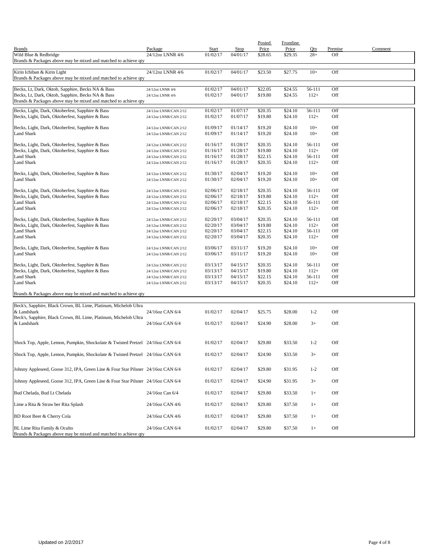|                                                                                                      |                                                |                      |                         | Posted             | <b>Frontline</b>   |                  |            |         |
|------------------------------------------------------------------------------------------------------|------------------------------------------------|----------------------|-------------------------|--------------------|--------------------|------------------|------------|---------|
| <b>Brands</b>                                                                                        | Package                                        | Start                | <b>Stop</b><br>04/01/17 | Price              | Price              | Qty              | Premise    | Comment |
| Wild Blue & Redbridge<br>Brands & Packages above may be mixed and matched to achieve qty             | 24/12oz LNNR 4/6                               | 01/02/17             |                         | \$28.65            | \$29.35            | $28+$            | Off        |         |
|                                                                                                      |                                                |                      |                         |                    |                    |                  |            |         |
| Kirin Ichiban & Kirin Light                                                                          | 24/12oz LNNR 4/6                               | 01/02/17             | 04/01/17                | \$23.50            | \$27.75            | $10+$            | Off        |         |
| Brands & Packages above may be mixed and matched to achieve qty                                      |                                                |                      |                         |                    |                    |                  |            |         |
| Becks, Lt, Dark, Oktob, Sapphire, Becks NA & Bass                                                    | 24/12oz LNNR 4/6                               | 01/02/17             | 04/01/17                | \$22.05            | \$24.55            | 56-111           | Off        |         |
| Becks, Lt, Dark, Oktob, Sapphire, Becks NA & Bass                                                    | 24/12oz LNNR 4/6                               | 01/02/17             | 04/01/17                | \$19.80            | \$24.55            | $112+$           | Off        |         |
| Brands & Packages above may be mixed and matched to achieve qty                                      |                                                |                      |                         |                    |                    |                  |            |         |
| Becks, Light, Dark, Oktoberfest, Sapphire & Bass                                                     | 24/12oz LNNR/CAN 2/12                          | 01/02/17             | 01/07/17                | \$20.35            | \$24.10            | 56-111           | Off        |         |
| Becks, Light, Dark, Oktoberfest, Sapphire & Bass                                                     | 24/12oz LNNR/CAN 2/12                          | 01/02/17             | 01/07/17                | \$19.80            | \$24.10            | $112+$           | Off        |         |
|                                                                                                      |                                                |                      |                         |                    |                    |                  |            |         |
| Becks, Light, Dark, Oktoberfest, Sapphire & Bass<br><b>Land Shark</b>                                | 24/12oz LNNR/CAN 2/12<br>24/12oz LNNR/CAN 2/12 | 01/09/17<br>01/09/17 | 01/14/17<br>01/14/17    | \$19.20<br>\$19.20 | \$24.10<br>\$24.10 | $10+$<br>$10+$   | Off<br>Off |         |
|                                                                                                      |                                                |                      |                         |                    |                    |                  |            |         |
| Becks, Light, Dark, Oktoberfest, Sapphire & Bass                                                     | 24/12oz LNNR/CAN 2/12                          | 01/16/17             | 01/28/17                | \$20.35            | \$24.10            | 56-111           | Off        |         |
| Becks, Light, Dark, Oktoberfest, Sapphire & Bass                                                     | 24/12oz LNNR/CAN 2/12                          | 01/16/17             | 01/28/17                | \$19.80            | \$24.10            | $112+$           | Off        |         |
| <b>Land Shark</b>                                                                                    | 24/12oz LNNR/CAN 2/12                          | 01/16/17             | 01/28/17                | \$22.15            | \$24.10            | 56-111           | Off        |         |
| <b>Land Shark</b>                                                                                    | 24/12oz LNNR/CAN 2/12                          | 01/16/17             | 01/28/17                | \$20.35            | \$24.10            | $112+$           | Off        |         |
| Becks, Light, Dark, Oktoberfest, Sapphire & Bass                                                     | 24/12oz LNNR/CAN 2/12                          | 01/30/17             | 02/04/17                | \$19.20            | \$24.10            | $10+$            | Off        |         |
| <b>Land Shark</b>                                                                                    | 24/12oz LNNR/CAN 2/12                          | 01/30/17             | 02/04/17                | \$19.20            | \$24.10            | $10+$            | Off        |         |
|                                                                                                      |                                                |                      |                         |                    |                    |                  |            |         |
| Becks, Light, Dark, Oktoberfest, Sapphire & Bass                                                     | 24/12oz LNNR/CAN 2/12                          | 02/06/17             | 02/18/17                | \$20.35            | \$24.10            | 56-111           | Off        |         |
| Becks, Light, Dark, Oktoberfest, Sapphire & Bass<br><b>Land Shark</b>                                | 24/12oz LNNR/CAN 2/12<br>24/12oz LNNR/CAN 2/12 | 02/06/17<br>02/06/17 | 02/18/17<br>02/18/17    | \$19.80<br>\$22.15 | \$24.10<br>\$24.10 | $112+$<br>56-111 | Off<br>Off |         |
| <b>Land Shark</b>                                                                                    | 24/12oz LNNR/CAN 2/12                          | 02/06/17             | 02/18/17                | \$20.35            | \$24.10            | $112+$           | Off        |         |
|                                                                                                      |                                                |                      |                         |                    |                    |                  |            |         |
| Becks, Light, Dark, Oktoberfest, Sapphire & Bass                                                     | 24/12oz LNNR/CAN 2/12                          | 02/20/17             | 03/04/17                | \$20.35            | \$24.10            | 56-111           | Off        |         |
| Becks, Light, Dark, Oktoberfest, Sapphire & Bass                                                     | 24/12oz LNNR/CAN 2/12                          | 02/20/17             | 03/04/17                | \$19.80            | \$24.10            | $112+$           | Off        |         |
| <b>Land Shark</b>                                                                                    | 24/12oz LNNR/CAN 2/12                          | 02/20/17             | 03/04/17                | \$22.15            | \$24.10            | 56-111           | Off        |         |
| <b>Land Shark</b>                                                                                    | 24/12oz LNNR/CAN 2/12                          | 02/20/17             | 03/04/17                | \$20.35            | \$24.10            | $112+$           | Off        |         |
| Becks, Light, Dark, Oktoberfest, Sapphire & Bass                                                     | 24/12oz LNNR/CAN 2/12                          | 03/06/17             | 03/11/17                | \$19.20            | \$24.10            | $10+$            | Off        |         |
| <b>Land Shark</b>                                                                                    | 24/12oz LNNR/CAN 2/12                          | 03/06/17             | 03/11/17                | \$19.20            | \$24.10            | $10+$            | Off        |         |
|                                                                                                      |                                                |                      |                         |                    |                    |                  |            |         |
| Becks, Light, Dark, Oktoberfest, Sapphire & Bass<br>Becks, Light, Dark, Oktoberfest, Sapphire & Bass | 24/12oz LNNR/CAN 2/12<br>24/12oz LNNR/CAN 2/12 | 03/13/17<br>03/13/17 | 04/15/17<br>04/15/17    | \$20.35<br>\$19.80 | \$24.10<br>\$24.10 | 56-111<br>$112+$ | Off<br>Off |         |
| <b>Land Shark</b>                                                                                    | 24/12oz LNNR/CAN 2/12                          | 03/13/17             | 04/15/17                | \$22.15            | \$24.10            | 56-111           | Off        |         |
| <b>Land Shark</b>                                                                                    | 24/12oz LNNR/CAN 2/12                          | 03/13/17             | 04/15/17                | \$20.35            | \$24.10            | $112+$           | Off        |         |
|                                                                                                      |                                                |                      |                         |                    |                    |                  |            |         |
| Brands & Packages above may be mixed and matched to achieve qty                                      |                                                |                      |                         |                    |                    |                  |            |         |
| Beck's, Sapphire, Black Crown, BL Lime, Platinum, Michelob Ultra                                     |                                                |                      |                         |                    |                    |                  |            |         |
| & Landshark                                                                                          | 24/16oz CAN 6/4                                | 01/02/17             | 02/04/17                | \$25.75            | \$28.00            | $1 - 2$          | Off        |         |
| Beck's, Sapphire, Black Crown, BL Lime, Platinum, Michelob Ultra                                     |                                                |                      |                         |                    |                    |                  |            |         |
| & Landshark                                                                                          | 24/16oz CAN 6/4                                | 01/02/17             | 02/04/17                | \$24.90            | \$28.00            | $3+$             | Off        |         |
|                                                                                                      |                                                |                      |                         |                    |                    |                  |            |         |
|                                                                                                      |                                                |                      |                         |                    |                    |                  |            |         |
| Shock Top, Apple, Lemon, Pumpkin, Shockolate & Twisted Pretzel 24/16oz CAN 6/4                       |                                                | 01/02/17             | 02/04/17                | \$29.80            | \$33.50            | $1 - 2$          | Off        |         |
| Shock Top, Apple, Lemon, Pumpkin, Shockolate & Twisted Pretzel 24/16oz CAN 6/4                       |                                                | 01/02/17             | 02/04/17                | \$24.90            | \$33.50            | $3+$             | Off        |         |
|                                                                                                      |                                                |                      |                         |                    |                    |                  |            |         |
| Johnny Appleseed, Goose 312, IPA, Green Line & Four Star Pilsner 24/16oz CAN 6/4                     |                                                | 01/02/17             | 02/04/17                | \$29.80            | \$31.95            | $1 - 2$          | Off        |         |
|                                                                                                      |                                                |                      |                         |                    |                    |                  |            |         |
| Johnny Appleseed, Goose 312, IPA, Green Line & Four Star Pilsner 24/16oz CAN 6/4                     |                                                | 01/02/17             | 02/04/17                | \$24.90            | \$31.95            | $3+$             | Off        |         |
|                                                                                                      |                                                |                      |                         |                    |                    |                  |            |         |
| Bud Chelada, Bud Lt Chelada                                                                          | 24/16oz Can 6/4                                | 01/02/17             | 02/04/17                | \$29.80            | \$33.50            | $1+$             | Off        |         |
| Lime a Rita & Straw ber Rita Splash                                                                  | 24/16oz CAN 4/6                                | 01/02/17             | 02/04/17                | \$29.80            | \$37.50            | $1+$             | Off        |         |
|                                                                                                      |                                                |                      |                         |                    |                    |                  |            |         |
| BD Root Beer & Cherry Cola                                                                           | 24/16oz CAN 4/6                                | 01/02/17             | 02/04/17                | \$29.80            | \$37.50            | $1+$             | Off        |         |
|                                                                                                      |                                                |                      |                         |                    |                    |                  |            |         |
| BL Lime Rita Family & Oculto<br>Brands & Packages above may be mixed and matched to achieve qty      | 24/16oz CAN 6/4                                | 01/02/17             | 02/04/17                | \$29.80            | \$37.50            | $1+$             | Off        |         |
|                                                                                                      |                                                |                      |                         |                    |                    |                  |            |         |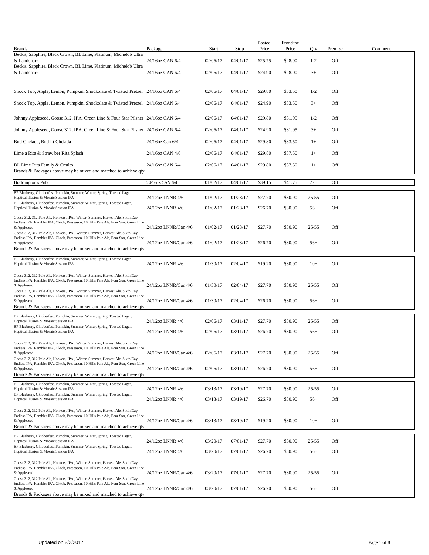| <b>Brands</b>                                                                                                                                                                         | Package              | Start    | <b>Stop</b> | Posted<br>Price | Frontline<br>Price | Qty       | Premise | Comment |
|---------------------------------------------------------------------------------------------------------------------------------------------------------------------------------------|----------------------|----------|-------------|-----------------|--------------------|-----------|---------|---------|
| Beck's, Sapphire, Black Crown, BL Lime, Platinum, Michelob Ultra<br>& Landshark                                                                                                       | 24/16oz CAN 6/4      | 02/06/17 | 04/01/17    | \$25.75         | \$28.00            | $1 - 2$   | Off     |         |
| Beck's, Sapphire, Black Crown, BL Lime, Platinum, Michelob Ultra<br>& Landshark                                                                                                       | 24/16oz CAN 6/4      | 02/06/17 | 04/01/17    | \$24.90         | \$28.00            | $3+$      | Off     |         |
|                                                                                                                                                                                       |                      |          |             |                 |                    |           |         |         |
| Shock Top, Apple, Lemon, Pumpkin, Shockolate & Twisted Pretzel 24/16oz CAN 6/4                                                                                                        |                      | 02/06/17 | 04/01/17    | \$29.80         | \$33.50            | $1 - 2$   | Off     |         |
| Shock Top, Apple, Lemon, Pumpkin, Shockolate & Twisted Pretzel 24/16oz CAN 6/4                                                                                                        |                      | 02/06/17 | 04/01/17    | \$24.90         | \$33.50            | $3+$      | Off     |         |
| Johnny Appleseed, Goose 312, IPA, Green Line & Four Star Pilsner 24/16oz CAN 6/4                                                                                                      |                      | 02/06/17 | 04/01/17    | \$29.80         | \$31.95            | $1 - 2$   | Off     |         |
| Johnny Appleseed, Goose 312, IPA, Green Line & Four Star Pilsner 24/16oz CAN 6/4                                                                                                      |                      | 02/06/17 | 04/01/17    | \$24.90         | \$31.95            | $3+$      | Off     |         |
| Bud Chelada, Bud Lt Chelada                                                                                                                                                           | 24/16oz Can 6/4      | 02/06/17 | 04/01/17    | \$29.80         | \$33.50            | $1+$      | Off     |         |
| Lime a Rita & Straw ber Rita Splash                                                                                                                                                   | 24/16oz CAN 4/6      | 02/06/17 | 04/01/17    | \$29.80         | \$37.50            | $1+$      | Off     |         |
| BL Lime Rita Family & Oculto<br>Brands & Packages above may be mixed and matched to achieve qty                                                                                       | 24/16oz CAN 6/4      | 02/06/17 | 04/01/17    | \$29.80         | \$37.50            | $1+$      | Off     |         |
| <b>Boddington's Pub</b>                                                                                                                                                               | 24/16oz CAN 6/4      | 01/02/17 | 04/01/17    | \$39.15         | \$41.75            | $72+$     | Off     |         |
| BP Blueberry, Oktoberfest, Pumpkin, Summer, Winter, Spring, Toasted Lager,<br>Hoptical Illusion & Mosaic Session IPA                                                                  | 24/12oz LNNR 4/6     | 01/02/17 | 01/28/17    | \$27.70         | \$30.90            | $25 - 55$ | Off     |         |
| BP Blueberry, Oktoberfest, Pumpkin, Summer, Winter, Spring, Toasted Lager,<br>Hoptical Illusion & Mosaic Session IPA                                                                  | 24/12oz LNNR 4/6     | 01/02/17 | 01/28/17    | \$26.70         | \$30.90            | $56+$     | Off     |         |
| Goose 312, 312 Pale Ale, Honkers, IPA, Winter, Summer, Harvest Ale, Sixth Day,                                                                                                        |                      |          |             |                 |                    |           |         |         |
| Endless IPA, Rambler IPA, Oktob, Preseason, 10 Hills Pale Ale, Four Star, Green Line<br>& Appleseed<br>Goose 312, 312 Pale Ale, Honkers, IPA, Winter, Summer, Harvest Ale, Sixth Day, | 24/12oz LNNR/Can 4/6 | 01/02/17 | 01/28/17    | \$27.70         | \$30.90            | $25 - 55$ | Off     |         |
| Endless IPA, Rambler IPA, Oktob, Preseason, 10 Hills Pale Ale, Four Star, Green Line<br>& Appleseed                                                                                   | 24/12oz LNNR/Can 4/6 | 01/02/17 | 01/28/17    | \$26.70         | \$30.90            | $56+$     | Off     |         |
| Brands & Packages above may be mixed and matched to achieve qty                                                                                                                       |                      |          |             |                 |                    |           |         |         |
| BP Blueberry, Oktoberfest, Pumpkin, Summer, Winter, Spring, Toasted Lager,<br>Hoptical Illusion & Mosaic Session IPA                                                                  | 24/12oz LNNR 4/6     | 01/30/17 | 02/04/17    | \$19.20         | \$30.90            | $10+$     | Off     |         |
| Goose 312, 312 Pale Ale, Honkers, IPA, Winter, Summer, Harvest Ale, Sixth Day,<br>Endless IPA, Rambler IPA, Oktob, Preseason, 10 Hills Pale Ale, Four Star, Green Line                |                      |          |             |                 |                    |           |         |         |
| & Appleseed<br>Goose 312, 312 Pale Ale, Honkers, IPA, Winter, Summer, Harvest Ale, Sixth Day,                                                                                         | 24/12oz LNNR/Can 4/6 | 01/30/17 | 02/04/17    | \$27.70         | \$30.90            | $25 - 55$ | Off     |         |
| Endless IPA, Rambler IPA, Oktob, Preseason, 10 Hills Pale Ale, Four Star, Green Line<br>& Appleseed                                                                                   | 24/12oz LNNR/Can 4/6 | 01/30/17 | 02/04/17    | \$26.70         | \$30.90            | $56+$     | Off     |         |
| Brands & Packages above may be mixed and matched to achieve qty<br>BP Blueberry, Oktoberfest, Pumpkin, Summer, Winter, Spring, Toasted Lager,                                         |                      |          |             |                 |                    |           |         |         |
| Hoptical Illusion & Mosaic Session IPA<br>BP Blueberry, Oktoberfest, Pumpkin, Summer, Winter, Spring, Toasted Lager,                                                                  | 24/12oz LNNR 4/6     | 02/06/17 | 03/11/17    | \$27.70         | \$30.90            | $25 - 55$ | Off     |         |
| Hoptical Illusion & Mosaic Session IPA                                                                                                                                                | 24/12oz LNNR 4/6     | 02/06/17 | 03/11/17    | \$26.70         | \$30.90            | $56+$     | Off     |         |
| Goose 312, 312 Pale Ale, Honkers, IPA, Winter, Summer, Harvest Ale, Sixth Day,<br>Endless IPA, Rambler IPA, Oktob, Preseason, 10 Hills Pale Ale, Four Star, Green Line                |                      |          |             |                 |                    |           |         |         |
| & Appleseed<br>Goose 312, 312 Pale Ale, Honkers, IPA, Winter, Summer, Harvest Ale, Sixth Day,                                                                                         | 24/12oz LNNR/Can 4/6 | 02/06/17 | 03/11/17    | \$27.70         | \$30.90            | $25 - 55$ | Off     |         |
| Endless IPA, Rambler IPA, Oktob, Preseason, 10 Hills Pale Ale, Four Star, Green Line<br>& Appleseed<br>Brands & Packages above may be mixed and matched to achieve gty                | 24/12oz LNNR/Can 4/6 | 02/06/17 | 03/11/17    | \$26.70         | \$30.90            | $56+$     | Off     |         |
| BP Blueberry, Oktoberfest, Pumpkin, Summer, Winter, Spring, Toasted Lager,                                                                                                            |                      |          |             |                 |                    |           |         |         |
| Hoptical Illusion & Mosaic Session IPA<br>BP Blueberry, Oktoberfest, Pumpkin, Summer, Winter, Spring, Toasted Lager,                                                                  | 24/12oz LNNR 4/6     | 03/13/17 | 03/19/17    | \$27.70         | \$30.90            | $25 - 55$ | Off     |         |
| Hoptical Illusion & Mosaic Session IPA                                                                                                                                                | 24/12oz LNNR 4/6     | 03/13/17 | 03/19/17    | \$26.70         | \$30.90            | $56+$     | Off     |         |
| Goose 312, 312 Pale Ale, Honkers, IPA, Winter, Summer, Harvest Ale, Sixth Day,<br>Endless IPA, Rambler IPA, Oktob, Preseason, 10 Hills Pale Ale, Four Star, Green Line<br>& Appleseed | 24/12oz LNNR/Can 4/6 | 03/13/17 | 03/19/17    | \$19.20         | \$30.90            | $10+$     | Off     |         |
| Brands & Packages above may be mixed and matched to achieve gty                                                                                                                       |                      |          |             |                 |                    |           |         |         |
| BP Blueberry, Oktoberfest, Pumpkin, Summer, Winter, Spring, Toasted Lager,<br>Hoptical Illusion & Mosaic Session IPA                                                                  | 24/12oz LNNR 4/6     | 03/20/17 | 07/01/17    | \$27.70         | \$30.90            | $25 - 55$ | Off     |         |
| BP Blueberry, Oktoberfest, Pumpkin, Summer, Winter, Spring, Toasted Lager,<br>Hoptical Illusion & Mosaic Session IPA                                                                  | 24/12oz LNNR 4/6     | 03/20/17 | 07/01/17    | \$26.70         | \$30.90            | $56+$     | Off     |         |
| Goose 312, 312 Pale Ale, Honkers, IPA, Winter, Summer, Harvest Ale, Sixth Day,                                                                                                        |                      |          |             |                 |                    |           |         |         |
| Endless IPA, Rambler IPA, Oktob, Preseason, 10 Hills Pale Ale, Four Star, Green Line<br>& Appleseed<br>Goose 312, 312 Pale Ale, Honkers, IPA, Winter, Summer, Harvest Ale, Sixth Day, | 24/12oz LNNR/Can 4/6 | 03/20/17 | 07/01/17    | \$27.70         | \$30.90            | $25 - 55$ | Off     |         |
| Endless IPA, Rambler IPA, Oktob, Preseason, 10 Hills Pale Ale, Four Star, Green Line<br>& Appleseed                                                                                   | 24/12oz LNNR/Can 4/6 | 03/20/17 | 07/01/17    | \$26.70         | \$30.90            | $56+$     | Off     |         |
| Brands & Packages above may be mixed and matched to achieve qty                                                                                                                       |                      |          |             |                 |                    |           |         |         |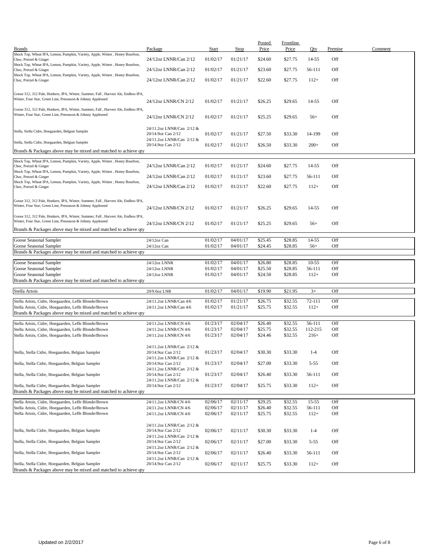| <b>Brands</b>                                                                                                                                     | Package                                                                      | Start                | <b>Stop</b>          | <b>Posted</b><br>Price | <b>Frontline</b><br>Price | Qty                 | Premise    | Comment |
|---------------------------------------------------------------------------------------------------------------------------------------------------|------------------------------------------------------------------------------|----------------------|----------------------|------------------------|---------------------------|---------------------|------------|---------|
| Shock Top, Wheat IPA, Lemon, Pumpkin, Variety, Apple, Winter, Honey Bourbon,<br>Choc, Pretzel & Ginger                                            | 24/12oz LNNR/Can 2/12                                                        | 01/02/17             | 01/21/17             | \$24.60                | \$27.75                   | 14-55               | Off        |         |
| Shock Top, Wheat IPA, Lemon, Pumpkin, Variety, Apple, Winter, Honey Bourbon,                                                                      |                                                                              |                      |                      |                        |                           |                     |            |         |
| Choc, Pretzel & Ginger<br>Shock Top, Wheat IPA, Lemon, Pumpkin, Variety, Apple, Winter, Honey Bourbon,                                            | 24/12oz LNNR/Can 2/12                                                        | 01/02/17             | 01/21/17             | \$23.60                | \$27.75                   | 56-111              | Off        |         |
| Choc, Pretzel & Ginger                                                                                                                            | 24/12oz LNNR/Can 2/12                                                        | 01/02/17             | 01/21/17             | \$22.60                | \$27.75                   | $112+$              | Off        |         |
| Goose 312, 312 Pale, Honkers, IPA, Winter, Summer, Fall, Harvest Ale, Endless IPA,<br>Winter, Four Star, Green Line, Preseason & Johnny Appleseed | 24/12oz LNNR/CN 2/12                                                         | 01/02/17             | 01/21/17             | \$26.25                | \$29.65                   | 14-55               | Off        |         |
| Goose 312, 312 Pale, Honkers, IPA, Winter, Summer, Fall, Harvest Ale, Endless IPA,<br>Winter, Four Star, Green Line, Preseason & Johnny Appleseed | 24/12oz LNNR/CN 2/12                                                         | 01/02/17             | 01/21/17             | \$25.25                | \$29.65                   | $56+$               | Off        |         |
| Stella, Stella Cidre, Hoegaarden, Belgian Sampler                                                                                                 | 24/11.2oz LNNR/Can 2/12 &<br>20/14.9oz Can 2/12                              | 01/02/17             | 01/21/17             | \$27.50                | \$33.30                   | 14-199              | Off        |         |
| Stella, Stella Cidre, Hoegaarden, Belgian Sampler                                                                                                 | 24/11.2oz LNNR/Can 2/12 &<br>20/14.9oz Can 2/12                              | 01/02/17             | 01/21/17             | \$26.50                | \$33.30                   | $200+$              | Off        |         |
| Brands & Packages above may be mixed and matched to achieve qty                                                                                   |                                                                              |                      |                      |                        |                           |                     |            |         |
| Shock Top, Wheat IPA, Lemon, Pumpkin, Variety, Apple, Winter, Honey Bourbon,                                                                      | 24/12oz LNNR/Can 2/12                                                        | 01/02/17             | 01/21/17             | \$24.60                | \$27.75                   | 14-55               | Off        |         |
| Choc, Pretzel & Ginger<br>Shock Top, Wheat IPA, Lemon, Pumpkin, Variety, Apple, Winter, Honey Bourbon,                                            | 24/12oz LNNR/Can 2/12                                                        | 01/02/17             | 01/21/17             | \$23.60                | \$27.75                   | 56-111              | Off        |         |
| Choc, Pretzel & Ginger<br>Shock Top, Wheat IPA, Lemon, Pumpkin, Variety, Apple, Winter, Honey Bourbon,                                            |                                                                              |                      |                      |                        |                           |                     |            |         |
| Choc, Pretzel & Ginger                                                                                                                            | 24/12oz LNNR/Can 2/12                                                        | 01/02/17             | 01/21/17             | \$22.60                | \$27.75                   | $112+$              | Off        |         |
| Goose 312, 312 Pale, Honkers, IPA, Winter, Summer, Fall, Harvest Ale, Endless IPA,<br>Winter, Four Star, Green Line, Preseason & Johnny Appleseed | 24/12oz LNNR/CN 2/12                                                         | 01/02/17             | 01/21/17             | \$26.25                | \$29.65                   | 14-55               | Off        |         |
| Goose 312, 312 Pale, Honkers, IPA, Winter, Summer, Fall, Harvest Ale, Endless IPA,<br>Winter, Four Star, Green Line, Preseason & Johnny Appleseed | 24/12oz LNNR/CN 2/12                                                         | 01/02/17             | 01/21/17             | \$25.25                | \$29.65                   | $56+$               | Off        |         |
| Brands & Packages above may be mixed and matched to achieve qty                                                                                   |                                                                              |                      |                      |                        |                           |                     |            |         |
| Goose Seasonal Sampler                                                                                                                            | 24/12oz Can                                                                  | 01/02/17             | 04/01/17             | \$25.45                | \$28.85                   | 14-55               | Off        |         |
| Goose Seasonal Sampler<br>Brands & Packages above may be mixed and matched to achieve qty                                                         | 24/12oz Can                                                                  | 01/02/17             | 04/01/17             | \$24.45                | \$28.85                   | $56+$               | Off        |         |
|                                                                                                                                                   |                                                                              |                      |                      |                        |                           |                     |            |         |
| Goose Seasonal Sampler<br>Goose Seasonal Sampler                                                                                                  | 24/12oz LNNR<br>24/12oz LNNR                                                 | 01/02/17<br>01/02/17 | 04/01/17<br>04/01/17 | \$26.80<br>\$25.50     | \$28.85<br>\$28.85        | $10 - 55$<br>56-111 | Off<br>Off |         |
| Goose Seasonal Sampler                                                                                                                            | 24/12oz LNNR                                                                 | 01/02/17             | 04/01/17             | \$24.50                | \$28.85                   | $112+$              | Off        |         |
| Brands & Packages above may be mixed and matched to achieve qty                                                                                   |                                                                              |                      |                      |                        |                           |                     |            |         |
| Stella Artois                                                                                                                                     | 20/9.6oz LNR                                                                 | 01/02/17             | 04/01/17             | \$19.90                | \$21.95                   | $3+$                | Off        |         |
| Stella Artois, Cidre, Hoegaarden, Leffe Blonde/Brown                                                                                              | 24/11.2oz LNNR/Can 4/6                                                       | 01/02/17             | 01/21/17             | \$26.75                | \$32.55                   | 72-111              | Off        |         |
| Stella Artois, Cidre, Hoegaarden, Leffe Blonde/Brown                                                                                              | 24/11.2oz LNNR/Can 4/6                                                       | 01/02/17             | 01/21/17             | \$25.75                | \$32.55                   | $112+$              | Off        |         |
| Brands & Packages above may be mixed and matched to achieve qty                                                                                   |                                                                              |                      |                      |                        |                           |                     |            |         |
| Stella Artois, Cidre, Hoegaarden, Leffe Blonde/Brown                                                                                              | 24/11.2oz LNNR/CN 4/6                                                        | 01/23/17             | 02/04/17             | \$26.40                | \$32.55                   | 56-111              | Off        |         |
| Stella Artois, Cidre, Hoegaarden, Leffe Blonde/Brown                                                                                              | 24/11.2oz LNNR/CN 4/6                                                        | 01/23/17             | 02/04/17             | \$25.75                | \$32.55                   | 112-215             | Off        |         |
| Stella Artois, Cidre, Hoegaarden, Leffe Blonde/Brown                                                                                              | 24/11.2oz LNNR/CN 4/6                                                        | 01/23/17             | 02/04/17             | \$24.46                | \$32.55                   | $216+$              | Off        |         |
| Stella, Stella Cidre, Hoegaarden, Belgian Sampler                                                                                                 | 24/11.2oz LNNR/Can 2/12 &<br>20/14.9oz Can 2/12<br>24/11.2oz LNNR/Can 2/12 & | 01/23/17             | 02/04/17             | \$30.30                | \$33.30                   | $1 - 4$             | Off        |         |
| Stella, Stella Cidre, Hoegaarden, Belgian Sampler                                                                                                 | 20/14.9oz Can 2/12                                                           | 01/23/17             | 02/04/17             | \$27.00                | \$33.30                   | $5 - 55$            | Off        |         |
| Stella, Stella Cidre, Hoegaarden, Belgian Sampler                                                                                                 | 24/11.2oz LNNR/Can 2/12 &<br>20/14.9oz Can 2/12<br>24/11.2oz LNNR/Can 2/12 & | 01/23/17             | 02/04/17             | \$26.40                | \$33.30                   | 56-111              | Off        |         |
| Stella, Stella Cidre, Hoegaarden, Belgian Sampler<br>Brands & Packages above may be mixed and matched to achieve qty                              | 20/14.9oz Can 2/12                                                           | 01/23/17             | 02/04/17             | \$25.75                | \$33.30                   | $112+$              | Off        |         |
| Stella Artois, Cidre, Hoegaarden, Leffe Blonde/Brown                                                                                              |                                                                              | 02/06/17             | 02/11/17             | \$29.25                | \$32.55                   | $15 - 55$           | Off        |         |
| Stella Artois, Cidre, Hoegaarden, Leffe Blonde/Brown                                                                                              | 24/11.2oz LNNR/CN 4/6<br>24/11.2oz LNNR/CN 4/6                               | 02/06/17             | 02/11/17             | \$26.40                | \$32.55                   | 56-111              | Off        |         |
| Stella Artois, Cidre, Hoegaarden, Leffe Blonde/Brown                                                                                              | 24/11.2oz LNNR/CN 4/6                                                        | 02/06/17             | 02/11/17             | \$25.75                | \$32.55                   | $112+$              | Off        |         |
| Stella, Stella Cidre, Hoegaarden, Belgian Sampler                                                                                                 | 24/11.2oz LNNR/Can 2/12 &<br>20/14.9oz Can 2/12<br>24/11.2oz LNNR/Can 2/12 & | 02/06/17             | 02/11/17             | \$30.30                | \$33.30                   | $1 - 4$             | Off        |         |
| Stella, Stella Cidre, Hoegaarden, Belgian Sampler                                                                                                 | 20/14.9oz Can 2/12<br>24/11.2oz LNNR/Can 2/12 &                              | 02/06/17             | 02/11/17             | \$27.00                | \$33.30                   | $5 - 55$            | Off        |         |
| Stella, Stella Cidre, Hoegaarden, Belgian Sampler                                                                                                 | 20/14.9oz Can 2/12<br>24/11.2oz LNNR/Can 2/12 &                              | 02/06/17             | 02/11/17             | \$26.40                | \$33.30                   | 56-111              | Off        |         |
| Stella, Stella Cidre, Hoegaarden, Belgian Sampler<br>Brands & Packages above may be mixed and matched to achieve qty                              | 20/14.9oz Can 2/12                                                           | 02/06/17             | 02/11/17             | \$25.75                | \$33.30                   | $112+$              | Off        |         |
|                                                                                                                                                   |                                                                              |                      |                      |                        |                           |                     |            |         |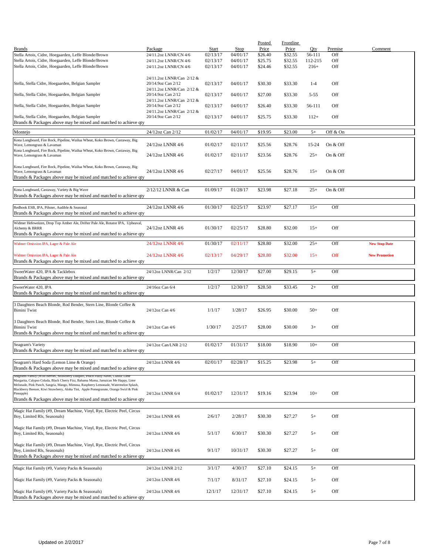|                                                                                                                                                                            |                           |          |          | <b>Posted</b> | Frontline |          |          |                      |
|----------------------------------------------------------------------------------------------------------------------------------------------------------------------------|---------------------------|----------|----------|---------------|-----------|----------|----------|----------------------|
| <b>Brands</b>                                                                                                                                                              | Package                   | Start    | Stop     | Price         | Price     | Qty      | Premise  | Comment              |
| Stella Artois, Cidre, Hoegaarden, Leffe Blonde/Brown                                                                                                                       | 24/11.2oz LNNR/CN 4/6     | 02/13/17 | 04/01/17 | \$26.40       | \$32.55   | 56-111   | Off      |                      |
| Stella Artois, Cidre, Hoegaarden, Leffe Blonde/Brown                                                                                                                       | 24/11.2oz LNNR/CN 4/6     | 02/13/17 | 04/01/17 | \$25.75       | \$32.55   | 112-215  | Off      |                      |
| Stella Artois, Cidre, Hoegaarden, Leffe Blonde/Brown                                                                                                                       | 24/11.2oz LNNR/CN 4/6     | 02/13/17 | 04/01/17 | \$24.46       | \$32.55   | $216+$   | Off      |                      |
|                                                                                                                                                                            |                           |          |          |               |           |          |          |                      |
|                                                                                                                                                                            | 24/11.2oz LNNR/Can 2/12 & |          |          |               |           |          |          |                      |
| Stella, Stella Cidre, Hoegaarden, Belgian Sampler                                                                                                                          | 20/14.9oz Can 2/12        | 02/13/17 | 04/01/17 | \$30.30       | \$33.30   | $1 - 4$  | Off      |                      |
|                                                                                                                                                                            | 24/11.2oz LNNR/Can 2/12 & |          |          |               |           |          |          |                      |
| Stella, Stella Cidre, Hoegaarden, Belgian Sampler                                                                                                                          | 20/14.9oz Can 2/12        | 02/13/17 | 04/01/17 | \$27.00       | \$33.30   | $5 - 55$ | Off      |                      |
|                                                                                                                                                                            | 24/11.2oz LNNR/Can 2/12 & |          |          |               |           |          |          |                      |
| Stella, Stella Cidre, Hoegaarden, Belgian Sampler                                                                                                                          | 20/14.9oz Can 2/12        | 02/13/17 | 04/01/17 | \$26.40       | \$33.30   | 56-111   | Off      |                      |
|                                                                                                                                                                            | 24/11.2oz LNNR/Can 2/12 & |          |          |               |           |          |          |                      |
| Stella, Stella Cidre, Hoegaarden, Belgian Sampler                                                                                                                          | 20/14.9oz Can 2/12        | 02/13/17 | 04/01/17 | \$25.75       | \$33.30   | $112+$   | Off      |                      |
| Brands & Packages above may be mixed and matched to achieve qty                                                                                                            |                           |          |          |               |           |          |          |                      |
|                                                                                                                                                                            |                           |          |          |               |           |          |          |                      |
| Montejo                                                                                                                                                                    | 24/12oz Can 2/12          | 01/02/17 | 04/01/17 | \$19.95       | \$23.00   | $5+$     | Off & On |                      |
| Kona Longboard, Fire Rock, Pipeline, Wailua Wheat, Koko Brown, Castaway, Big                                                                                               |                           |          |          |               |           |          |          |                      |
| Wave, Lemongrass & Lavaman                                                                                                                                                 | 24/12oz LNNR 4/6          | 01/02/17 | 02/11/17 | \$25.56       | \$28.76   | 15-24    | On & Off |                      |
| Kona Longboard, Fire Rock, Pipeline, Wailua Wheat, Koko Brown, Castaway, Big                                                                                               |                           |          |          |               |           |          |          |                      |
| Wave, Lemongrass & Lavaman                                                                                                                                                 | 24/12oz LNNR 4/6          | 01/02/17 | 02/11/17 | \$23.56       | \$28.76   | $25+$    | On & Off |                      |
|                                                                                                                                                                            |                           |          |          |               |           |          |          |                      |
| Kona Longboard, Fire Rock, Pipeline, Wailua Wheat, Koko Brown, Castaway, Big                                                                                               |                           |          |          |               |           |          |          |                      |
| Wave, Lemongrass & Lavaman                                                                                                                                                 | 24/12oz LNNR 4/6          | 02/27/17 | 04/01/17 | \$25.56       | \$28.76   | $15+$    | On & Off |                      |
| Brands & Packages above may be mixed and matched to achieve qty                                                                                                            |                           |          |          |               |           |          |          |                      |
|                                                                                                                                                                            |                           |          |          |               |           |          |          |                      |
| Kona Longboard, Castaway, Variety & Big Wave                                                                                                                               | 2/12/12 LNNR & Can        | 01/09/17 | 01/28/17 | \$23.98       | \$27.18   | $25+$    | On & Off |                      |
| Brands & Packages above may be mixed and matched to achieve qty                                                                                                            |                           |          |          |               |           |          |          |                      |
|                                                                                                                                                                            |                           |          |          |               |           |          |          |                      |
|                                                                                                                                                                            | 24/12oz LNNR 4/6          | 01/30/17 | 02/25/17 | \$23.97       | \$27.17   | $15+$    | Off      |                      |
| Redhook ESB, IPA, Pilsner, Audible & Seasonal                                                                                                                              |                           |          |          |               |           |          |          |                      |
| Brands & Packages above may be mixed and matched to achieve qty                                                                                                            |                           |          |          |               |           |          |          |                      |
| Widmer Hefeweizen, Drop Top Amber Ale, Drifter Pale Ale, Rotator IPA, Upheaval,                                                                                            |                           |          |          |               |           |          |          |                      |
| Alchemy & BRRR                                                                                                                                                             | 24/12oz LNNR 4/6          | 01/30/17 | 02/25/17 | \$28.80       | \$32.00   | $15+$    | Off      |                      |
| Brands & Packages above may be mixed and matched to achieve qty                                                                                                            |                           |          |          |               |           |          |          |                      |
|                                                                                                                                                                            |                           |          |          |               |           |          |          |                      |
| Widmer Omission IPA, Lager & Pale Ale                                                                                                                                      | 24/12oz LNNR 4/6          | 01/30/17 | 02/11/17 | \$28.80       | \$32.00   | $25+$    | Off      | <b>New Stop Date</b> |
|                                                                                                                                                                            |                           |          |          |               |           |          |          |                      |
| Widmer Omission IPA, Lager & Pale Ale                                                                                                                                      | 24/12oz LNNR 4/6          | 02/13/17 | 04/29/17 | \$28.80       | \$32.00   | $15+$    | Off      | <b>New Promotion</b> |
| Brands & Packages above may be mixed and matched to achieve qty                                                                                                            |                           |          |          |               |           |          |          |                      |
|                                                                                                                                                                            |                           |          |          |               |           |          |          |                      |
| SweetWater 420, IPA & Tacklebox                                                                                                                                            | 24/12oz LNNR/Can 2/12     | 1/2/17   | 12/30/17 | \$27.00       | \$29.15   | $5+$     | Off      |                      |
| Brands & Packages above may be mixed and matched to achieve qty                                                                                                            |                           |          |          |               |           |          |          |                      |
|                                                                                                                                                                            |                           |          |          |               |           |          |          |                      |
| SweetWater 420, IPA                                                                                                                                                        | 24/16oz Can 6/4           | 1/2/17   | 12/30/17 | \$28.50       | \$33.45   | $2+$     | Off      |                      |
| Brands & Packages above may be mixed and matched to achieve qty                                                                                                            |                           |          |          |               |           |          |          |                      |
|                                                                                                                                                                            |                           |          |          |               |           |          |          |                      |
| 3 Daughters Beach Blonde, Rod Bender, Stern Line, Blonde Coffee &                                                                                                          |                           |          |          |               |           |          |          |                      |
| <b>Bimini Twist</b>                                                                                                                                                        | 24/12oz Can 4/6           | 1/1/17   | 1/28/17  | \$26.95       | \$30.00   | $50+$    | Off      |                      |
|                                                                                                                                                                            |                           |          |          |               |           |          |          |                      |
| 3 Daughters Beach Blonde, Rod Bender, Stern Line, Blonde Coffee &                                                                                                          |                           |          |          |               |           |          |          |                      |
| <b>Bimini Twist</b>                                                                                                                                                        | 24/12oz Can 4/6           | 1/30/17  | 2/25/17  | \$28.00       | \$30.00   | $3+$     | Off      |                      |
| Brands & Packages above may be mixed and matched to achieve qty                                                                                                            |                           |          |          |               |           |          |          |                      |
|                                                                                                                                                                            |                           |          |          |               |           |          |          |                      |
| Seagram's Variety                                                                                                                                                          | 24/12oz Can/LNR 2/12      | 01/02/17 | 01/31/17 | \$18.00       | \$18.90   | $10+$    | Off      |                      |
| Brands & Packages above may be mixed and matched to achieve qty                                                                                                            |                           |          |          |               |           |          |          |                      |
|                                                                                                                                                                            |                           |          |          |               |           |          |          |                      |
| Seagram's Hard Soda (Lemon Lime & Orange)                                                                                                                                  | 24/12oz LNNR 4/6          | 02/01/17 | 02/28/17 | \$15.25       | \$23.98   | $5+$     | Off      |                      |
| Brands & Packages above may be mixed and matched to achieve qty                                                                                                            |                           |          |          |               |           |          |          |                      |
|                                                                                                                                                                            |                           |          |          |               |           |          |          |                      |
| Seagrams Family (Wild Bernes, Strawberry Daiquiri, Peach Fuzzy Navel, Classic Lim                                                                                          |                           |          |          |               |           |          |          |                      |
| Margarita, Calypso Colada, Black Cherry Fizz, Bahama Mama, Jamaican Me Happy, Lime<br>Melonade, Pink Punch, Sangria, Mango, Mimosa, Raspberry Lemonade, Watermelon Splash, |                           |          |          |               |           |          |          |                      |
| Blackberry Breezer, Kiwi Strawberry, Aloha Tini, Apple Pomegranate, Orange Swirl & Pink                                                                                    |                           |          |          |               |           |          |          |                      |
| Pineapple)                                                                                                                                                                 | 24/12oz LNNR 6/4          | 01/02/17 | 12/31/17 | \$19.16       | \$23.94   | $10+$    | Off      |                      |
| Brands & Packages above may be mixed and matched to achieve qty                                                                                                            |                           |          |          |               |           |          |          |                      |
|                                                                                                                                                                            |                           |          |          |               |           |          |          |                      |
| Magic Hat Family (#9, Dream Machine, Vinyl, Rye, Electric Peel, Circus                                                                                                     |                           |          |          |               |           |          |          |                      |
| Boy, Limited Rls, Seasonals)                                                                                                                                               | 24/12oz LNNR 4/6          | 2/6/17   | 2/28/17  | \$30.30       | \$27.27   | $5+$     | Off      |                      |
|                                                                                                                                                                            |                           |          |          |               |           |          |          |                      |
| Magic Hat Family (#9, Dream Machine, Vinyl, Rye, Electric Peel, Circus                                                                                                     |                           |          |          |               |           |          |          |                      |
| Boy, Limited Rls, Seasonals)                                                                                                                                               | 24/12oz LNNR 4/6          | 5/1/17   | 6/30/17  | \$30.30       | \$27.27   | $5+$     | Off      |                      |
|                                                                                                                                                                            |                           |          |          |               |           |          |          |                      |
| Magic Hat Family (#9, Dream Machine, Vinyl, Rye, Electric Peel, Circus                                                                                                     |                           |          |          |               |           |          |          |                      |
| Boy, Limited Rls, Seasonals)                                                                                                                                               | 24/12oz LNNR 4/6          | 9/1/17   | 10/31/17 | \$30.30       | \$27.27   | $5+$     | Off      |                      |
| Brands & Packages above may be mixed and matched to achieve qty                                                                                                            |                           |          |          |               |           |          |          |                      |
|                                                                                                                                                                            |                           |          |          |               |           |          |          |                      |
| Magic Hat Family (#9, Variety Packs & Seasonals)                                                                                                                           | 24/12oz LNNR 2/12         | 3/1/17   | 4/30/17  | \$27.10       | \$24.15   | $5+$     | Off      |                      |
|                                                                                                                                                                            |                           |          |          |               |           |          |          |                      |
|                                                                                                                                                                            |                           |          |          |               |           |          |          |                      |
| Magic Hat Family (#9, Variety Packs & Seasonals)                                                                                                                           | 24/12oz LNNR 4/6          | 7/1/17   | 8/31/17  | \$27.10       | \$24.15   | $5+$     | Off      |                      |
|                                                                                                                                                                            |                           |          |          |               |           |          |          |                      |
| Magic Hat Family (#9, Variety Packs & Seasonals)                                                                                                                           | 24/12oz LNNR 4/6          | 12/1/17  | 12/31/17 | \$27.10       | \$24.15   | $5+$     | Off      |                      |
| Brands & Packages above may be mixed and matched to achieve qty                                                                                                            |                           |          |          |               |           |          |          |                      |
|                                                                                                                                                                            |                           |          |          |               |           |          |          |                      |